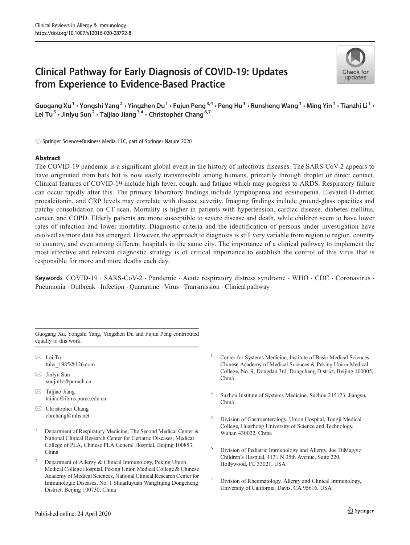# Clinical Pathway for Early Diagnosis of COVID-19: Updates from Experience to Evidence-Based Practice



Guogang Xu<sup>1</sup> • Yongshi Yang<sup>2</sup> • Yingzhen Du<sup>1</sup> • Fujun Peng<sup>3,4</sup> • Peng Hu<sup>1</sup> • Runsheng Wang<sup>1</sup> • Ming Yin<sup>1</sup> • Tianzhi Li<sup>1</sup> • Lei Tu<sup>5</sup> · Jinlyu Sun<sup>2</sup> · Taijiao Jiang<sup>3,4</sup> · Christopher Chang<sup>6,7</sup>

© Springer Science+Business Media, LLC, part of Springer Nature 2020

## Abstract

The COVID-19 pandemic is a significant global event in the history of infectious diseases. The SARS-CoV-2 appears to have originated from bats but is now easily transmissible among humans, primarily through droplet or direct contact. Clinical features of COVID-19 include high fever, cough, and fatigue which may progress to ARDS. Respiratory failure can occur rapidly after this. The primary laboratory findings include lymphopenia and eosinopenia. Elevated D-dimer, procalcitonin, and CRP levels may correlate with disease severity. Imaging findings include ground-glass opacities and patchy consolidation on CT scan. Mortality is higher in patients with hypertension, cardiac disease, diabetes mellitus, cancer, and COPD. Elderly patients are more susceptible to severe disease and death, while children seem to have lower rates of infection and lower mortality. Diagnostic criteria and the identification of persons under investigation have evolved as more data has emerged. However, the approach to diagnosis is still very variable from region to region, country to country, and even among different hospitals in the same city. The importance of a clinical pathway to implement the most effective and relevant diagnostic strategy is of critical importance to establish the control of this virus that is responsible for more and more deaths each day.

Keywords COVID-19 · SARS-CoV-2 · Pandemic · Acute respiratory distress syndrome · WHO · CDC · Coronavirus · Pneumonia . Outbreak . Infection . Quarantine . Virus . Transmission . Clinical pathway

Guogang Xu, Yongshi Yang, Yingzhen Du and Fujun Peng contributed equally to this work.

- $\boxtimes$  Lei Tu [tulei\\_1985@126.com](mailto:tulei_1985@126.com)
- $\boxtimes$  Jinlyu Sun [sunjinlv@pumch.cn](mailto:sunjinlv@pumch.cn)
- $\boxtimes$  Taijiao Jiang [taijiao@ibms.pumc.edu.cn](mailto:taijiao@ibms.pumc.edu.cn)
- $\boxtimes$  Christopher Chang [chrchang@mhs.net](mailto:chrchang@mhs.net)
- <sup>1</sup> Department of Respiratory Medicine, The Second Medical Center  $\&$ National Clinical Research Center for Geriatric Diseases, Medical College of PLA, Chinese PLA General Hospital, Beijing 100853, China
- <sup>2</sup> Department of Allergy & Clinical Immunology, Peking Union Medical College Hospital, Peking Union Medical College & Chinese Academy of Medical Sciences, National Clinical Research Center for Immunologic Diseases, No. 1 Shuaifuyuan Wangfujing Dongcheng District, Beijing 100730, China
- Center for Systems Medicine, Institute of Basic Medical Sciences, Chinese Academy of Medical Sciences & Peking Union Medical College, No. 9, Dongdan 3rd, Dongcheng District, Beijing 100005, China
- <sup>4</sup> Suzhou Institute of Systems Medicine, Suzhou 215123, Jiangsu, China
- <sup>5</sup> Division of Gastroenterology, Union Hospital, Tongji Medical College, Huazhong University of Science and Technology, Wuhan 430022, China
- <sup>6</sup> Division of Pediatric Immunology and Allergy, Joe DiMaggio Children's Hospital, 1131 N 35th Avenue, Suite 220, Hollywood, FL 33021, USA
- Division of Rheumatology, Allergy and Clinical Immunology, University of California, Davis, CA 95616, USA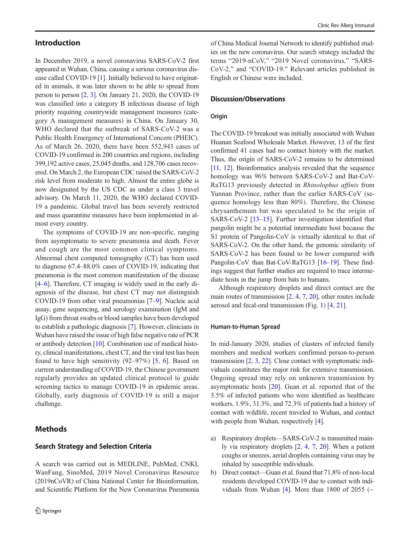## Introduction

In December 2019, a novel coronavirus SARS-CoV-2 first appeared in Wuhan, China, causing a serious coronavirus disease called COVID-19 [[1\]](#page-9-0). Initially believed to have originated in animals, it was later shown to be able to spread from person to person [\[2](#page-9-0), [3\]](#page-9-0). On January 21, 2020, the COVID-19 was classified into a category B infectious disease of high priority requiring countrywide management measures (category A management measures) in China. On January 30, WHO declared that the outbreak of SARS-CoV-2 was a Public Health Emergency of International Concern (PHEIC). As of March 26, 2020, there have been 552,943 cases of COVID-19 confirmed in 200 countries and regions, including 399,192 active cases, 25,045 deaths, and 128,706 cases recovered. On March 2, the European CDC raised the SARS-CoV-2 risk level from moderate to high. Almost the entire globe is now designated by the US CDC as under a class 3 travel advisory. On March 11, 2020, the WHO declared COVID-19 a pandemic. Global travel has been severely restricted and mass quarantine measures have been implemented in almost every country.

The symptoms of COVID-19 are non-specific, ranging from asymptomatic to severe pneumonia and death. Fever and cough are the most common clinical symptoms. Abnormal chest computed tomography (CT) has been used to diagnose 67.4–88.0% cases of COVID-19, indicating that pneumonia is the most common manifestation of the disease [\[4](#page-9-0)–[6\]](#page-9-0). Therefore, CT imaging is widely used in the early diagnosis of the disease, but chest CT may not distinguish COVID-19 from other viral pneumonias [[7](#page-9-0)–[9](#page-9-0)]. Nucleic acid assay, gene sequencing, and serology examination (IgM and IgG) from throat swabs or blood samples have been developed to establish a pathologic diagnosis [\[7](#page-9-0)]. However, clinicians in Wuhan have raised the issue of high false negative rate of PCR or antibody detection [\[10](#page-9-0)]. Combination use of medical history, clinical manifestations, chest CT, and the viral test has been found to have high sensitivity  $(92-97%)$  [\[5](#page-9-0), [6](#page-9-0)]. Based on current understanding of COVID-19, the Chinese government regularly provides an updated clinical protocol to guide screening tactics to manage COVID-19 in epidemic areas. Globally, early diagnosis of COVID-19 is still a major challenge.

## **Methods**

### Search Strategy and Selection Criteria

A search was carried out in MEDLINE, PubMed, CNKI, WanFang, SinoMed, 2019 Novel Coronavirus Resource (2019nCoVR) of China National Center for Bioinformation, and Scientific Platform for the New Coronavirus Pneumonia of China Medical Journal Network to identify published studies on the new coronavirus. Our search strategy included the terms "2019-nCoV," "2019 Novel coronavirus," "SARS-CoV-2," and "COVID-19." Relevant articles published in English or Chinese were included.

## Discussion/Observations

#### **Origin**

The COVID-19 breakout was initially associated with Wuhan Huanan Seafood Wholesale Market. However, 13 of the first confirmed 41 cases had no contact history with the market. Thus, the origin of SARS-CoV-2 remains to be determined [\[11,](#page-9-0) [12](#page-9-0)]. Bioinformatics analysis revealed that the sequence homology was 96% between SARS-CoV-2 and Bat-CoV-RaTG13 previously detected in Rhinolophus affinis from Yunnan Province, rather than the earlier SARS-CoV (sequence homology less than 80%). Therefore, the Chinese chrysanthemum bat was speculated to be the origin of SARS-CoV-2 [\[13](#page-9-0)–[15\]](#page-9-0). Further investigation identified that pangolin might be a potential intermediate host because the S1 protein of Pangolin-CoV is virtually identical to that of SARS-CoV-2. On the other hand, the genomic similarity of SARS-CoV-2 has been found to be lower compared with Pangolin-CoV than Bat-CoV-RaTG13 [[16](#page-9-0)–[19](#page-9-0)]. These findings suggest that further studies are required to trace intermediate hosts in the jump from bats to humans.

Although respiratory droplets and direct contact are the main routes of transmission [\[2](#page-9-0), [4](#page-9-0), [7](#page-9-0), [20\]](#page-9-0), other routes include aerosol and fecal-oral transmission (Fig. [1\)](#page-2-0) [\[4,](#page-9-0) [21\]](#page-9-0).

#### Human-to-Human Spread

In mid-January 2020, studies of clusters of infected family members and medical workers confirmed person-to-person transmission [[2](#page-9-0), [3](#page-9-0), [22](#page-9-0)]. Close contact with symptomatic individuals constitutes the major risk for extensive transmission. Ongoing spread may rely on unknown transmission by asymptomatic hosts [[20\]](#page-9-0). Guan et al. reported that of the 3.5% of infected patients who were identified as healthcare workers, 1.9%, 31.3%, and 72.3% of patients had a history of contact with wildlife, recent traveled to Wuhan, and contact with people from Wuhan, respectively [\[4](#page-9-0)].

- a) Respiratory droplets—SARS-CoV-2 is transmitted mainly via respiratory droplets [[2,](#page-9-0) [4](#page-9-0), [7](#page-9-0), [20](#page-9-0)]. When a patient coughs or sneezes, aerial droplets containing virus may be inhaled by susceptible individuals.
- b) Direct contact—Guan et al. found that 71.8% of non-local residents developed COVID-19 due to contact with indi-viduals from Wuhan [[4\]](#page-9-0). More than 1800 of 2055 ( $\sim$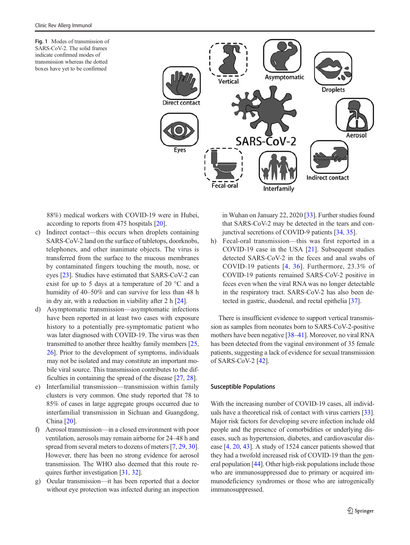<span id="page-2-0"></span>Fig. 1 Modes of transmission of SARS-CoV-2. The solid frames indicate confirmed modes of transmission whereas the dotted boxes have yet to be confirmed



88%) medical workers with COVID-19 were in Hubei, according to reports from 475 hospitals [\[20\]](#page-9-0).

- c) Indirect contact—this occurs when droplets containing SARS-CoV-2 land on the surface of tabletops, doorknobs, telephones, and other inanimate objects. The virus is transferred from the surface to the mucous membranes by contaminated fingers touching the mouth, nose, or eyes [[23\]](#page-9-0). Studies have estimated that SARS-CoV-2 can exist for up to 5 days at a temperature of 20 °C and a humidity of 40–50% and can survive for less than 48 h in dry air, with a reduction in viability after 2 h [\[24\]](#page-9-0).
- d) Asymptomatic transmission—asymptomatic infections have been reported in at least two cases with exposure history to a potentially pre-symptomatic patient who was later diagnosed with COVID-19. The virus was then transmitted to another three healthy family members [[25,](#page-9-0) [26\]](#page-9-0). Prior to the development of symptoms, individuals may not be isolated and may constitute an important mobile viral source. This transmission contributes to the difficulties in containing the spread of the disease [\[27](#page-10-0), [28\]](#page-10-0).
- e) Interfamilial transmission—transmission within family clusters is very common. One study reported that 78 to 85% of cases in large aggregate groups occurred due to interfamilial transmission in Sichuan and Guangdong, China [\[20](#page-9-0)].
- f) Aerosol transmission—in a closed environment with poor ventilation, aerosols may remain airborne for 24–48 h and spread from several meters to dozens of meters [\[7](#page-9-0), [29](#page-10-0), [30\]](#page-10-0). However, there has been no strong evidence for aerosol transmission. The WHO also deemed that this route requires further investigation [[31](#page-10-0), [32](#page-10-0)].
- g) Ocular transmission—it has been reported that a doctor without eye protection was infected during an inspection

in Wuhan on January 22, 2020 [\[33\]](#page-10-0). Further studies found that SARS-CoV-2 may be detected in the tears and conjunctival secretions of COVID-9 patients [\[34](#page-10-0), [35](#page-10-0)].

h) Fecal-oral transmission—this was first reported in a COVID-19 case in the USA [\[21](#page-9-0)]. Subsequent studies detected SARS-CoV-2 in the feces and anal swabs of COVID-19 patients [[4](#page-9-0), [36](#page-10-0)]. Furthermore, 23.3% of COVID-19 patients remained SARS-CoV-2 positive in feces even when the viral RNA was no longer detectable in the respiratory tract. SARS-CoV-2 has also been detected in gastric, duodenal, and rectal epithelia [[37\]](#page-10-0).

There is insufficient evidence to support vertical transmission as samples from neonates born to SARS-CoV-2-positive mothers have been negative [[38](#page-10-0)–[41](#page-10-0)]. Moreover, no viral RNA has been detected from the vaginal environment of 35 female patients, suggesting a lack of evidence for sexual transmission of SARS-CoV-2 [\[42\]](#page-10-0).

#### Susceptible Populations

With the increasing number of COVID-19 cases, all individuals have a theoretical risk of contact with virus carriers [[33\]](#page-10-0). Major risk factors for developing severe infection include old people and the presence of comorbidities or underlying diseases, such as hypertension, diabetes, and cardiovascular disease [\[4](#page-9-0), [20](#page-9-0), [43\]](#page-10-0). A study of 1524 cancer patients showed that they had a twofold increased risk of COVID-19 than the general population [[44](#page-10-0)]. Other high-risk populations include those who are immunosuppressed due to primary or acquired immunodeficiency syndromes or those who are iatrogenically immunosuppressed.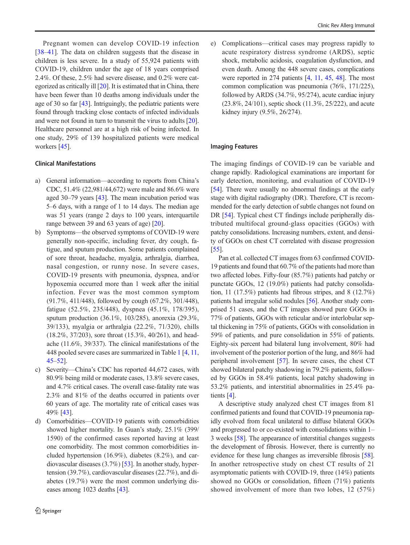Pregnant women can develop COVID-19 infection [\[38](#page-10-0)–[41](#page-10-0)]. The data on children suggests that the disease in children is less severe. In a study of 55,924 patients with COVID-19, children under the age of 18 years comprised 2.4%. Of these, 2.5% had severe disease, and 0.2% were categorized as critically ill [[20](#page-9-0)]. It is estimated that in China, there have been fewer than 10 deaths among individuals under the age of 30 so far [\[43](#page-10-0)]. Intriguingly, the pediatric patients were found through tracking close contacts of infected individuals and were not found in turn to transmit the virus to adults [[20\]](#page-9-0). Healthcare personnel are at a high risk of being infected. In one study, 29% of 139 hospitalized patients were medical workers [\[45\]](#page-10-0).

#### Clinical Manifestations

- a) General information—according to reports from China's CDC, 51.4% (22,981/44,672) were male and 86.6% were aged 30–79 years [\[43](#page-10-0)]. The mean incubation period was 5–6 days, with a range of 1 to 14 days. The median age was 51 years (range 2 days to 100 years, interquartile range between 39 and 63 years of age) [\[20\]](#page-9-0).
- b) Symptoms—the observed symptoms of COVID-19 were generally non-specific, including fever, dry cough, fatigue, and sputum production. Some patients complained of sore throat, headache, myalgia, arthralgia, diarrhea, nasal congestion, or runny nose. In severe cases, COVID-19 presents with pneumonia, dyspnea, and/or hypoxemia occurred more than 1 week after the initial infection. Fever was the most common symptom (91.7%, 411/448), followed by cough (67.2%, 301/448), fatigue (52.5%, 235/448), dyspnea (45.1%, 178/395), sputum production (36.1%, 103/285), anorexia (29.3%, 39/133), myalgia or arthralgia (22.2%, 71/320), chills (18.2%, 37/203), sore throat (15.3%, 40/261), and headache (11.6%, 39/337). The clinical manifestations of the 448 pooled severe cases are summarized in Table [1](#page-4-0) [[4,](#page-9-0) [11,](#page-9-0) [45](#page-10-0)–[52](#page-10-0)].
- c) Severity—China's CDC has reported 44,672 cases, with 80.9% being mild or moderate cases, 13.8% severe cases, and 4.7% critical cases. The overall case-fatality rate was 2.3% and 81% of the deaths occurred in patients over 60 years of age. The mortality rate of critical cases was 49% [\[43\]](#page-10-0).
- d) Comorbidities—COVID-19 patients with comorbidities showed higher mortality. In Guan's study, 25.1% (399/ 1590) of the confirmed cases reported having at least one comorbidity. The most common comorbidities included hypertension (16.9%), diabetes (8.2%), and cardiovascular diseases (3.7%) [\[53\]](#page-10-0). In another study, hypertension (39.7%), cardiovascular diseases (22.7%), and diabetes (19.7%) were the most common underlying diseases among 1023 deaths [[43\]](#page-10-0).

e) Complications—critical cases may progress rapidly to acute respiratory distress syndrome (ARDS), septic shock, metabolic acidosis, coagulation dysfunction, and even death. Among the 448 severe cases, complications were reported in 274 patients [\[4,](#page-9-0) [11](#page-9-0), [45](#page-10-0), [48\]](#page-10-0). The most common complication was pneumonia (76%, 171/225), followed by ARDS (34.7%, 95/274), acute cardiac injury (23.8%, 24/101), septic shock (11.3%, 25/222), and acute kidney injury (9.5%, 26/274).

#### Imaging Features

The imaging findings of COVID-19 can be variable and change rapidly. Radiological examinations are important for early detection, monitoring, and evaluation of COVID-19 [\[54](#page-10-0)]. There were usually no abnormal findings at the early stage with digital radiography (DR). Therefore, CT is recommended for the early detection of subtle changes not found on DR [[54\]](#page-10-0). Typical chest CT findings include peripherally distributed multifocal ground-glass opacities (GGOs) with patchy consolidations. Increasing numbers, extent, and density of GGOs on chest CT correlated with disease progression [\[55](#page-10-0)].

Pan et al. collected CT images from 63 confirmed COVID-19 patients and found that 60.7% of the patients had more than two affected lobes. Fifty-four (85.7%) patients had patchy or punctate GGOs, 12 (19.0%) patients had patchy consolidation, 11 (17.5%) patients had fibrous stripes, and 8 (12.7%) patients had irregular solid nodules [\[56](#page-10-0)]. Another study comprised 51 cases, and the CT images showed pure GGOs in 77% of patients, GGOs with reticular and/or interlobular septal thickening in 75% of patients, GGOs with consolidation in 59% of patients, and pure consolidation in 55% of patients. Eighty-six percent had bilateral lung involvement, 80% had involvement of the posterior portion of the lung, and 86% had peripheral involvement [\[57](#page-10-0)]. In severe cases, the chest CT showed bilateral patchy shadowing in 79.2% patients, followed by GGOs in 58.4% patients, local patchy shadowing in 53.2% patients, and interstitial abnormalities in 25.4% patients [[4\]](#page-9-0).

A descriptive study analyzed chest CT images from 81 confirmed patients and found that COVID-19 pneumonia rapidly evolved from focal unilateral to diffuse bilateral GGOs and progressed to or co-existed with consolidations within 1– 3 weeks [[58\]](#page-10-0). The appearance of interstitial changes suggests the development of fibrosis. However, there is currently no evidence for these lung changes as irreversible fibrosis [[58\]](#page-10-0). In another retrospective study on chest CT results of 21 asymptomatic patients with COVID-19, three (14%) patients showed no GGOs or consolidation, fifteen (71%) patients showed involvement of more than two lobes, 12 (57%)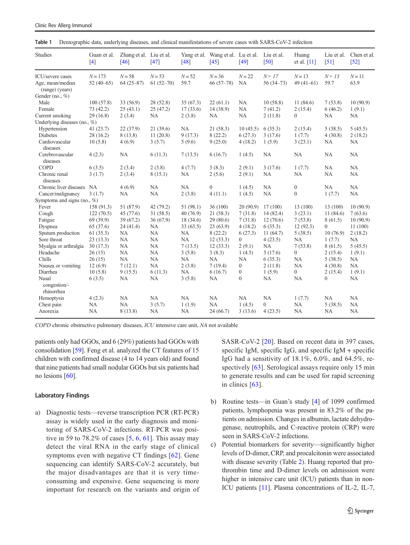| <b>Studies</b>                                          | Guan et al.<br>[4]        | Zhang et al. Liu et al.<br>$[46]$ | $[47]$                  | Yang et al.<br>$[48]$ | Wang et al. Lu et al.<br>$[45]$ | $[49]$                | Liu et al.<br>$[50]$  | Huang<br>et al. [11]   | Liu et al.<br>$[51]$ | Chen et al.<br>$[52]$ |
|---------------------------------------------------------|---------------------------|-----------------------------------|-------------------------|-----------------------|---------------------------------|-----------------------|-----------------------|------------------------|----------------------|-----------------------|
| ICU/severe cases<br>Age, mean/median<br>(range) (years) | $N = 173$<br>52 $(40-65)$ | $N = 58$<br>$64(25-87)$           | $N = 53$<br>$61(52-70)$ | $N = 52$<br>59.7      | $N = 36$<br>$66(57-78)$         | $N = 22$<br><b>NA</b> | $N=17$<br>$56(34-73)$ | $N=13$<br>49 $(41-61)$ | $N = 13$<br>59.7     | $N=11$<br>63.9        |
| Gender (no., $\%$ )                                     |                           |                                   |                         |                       |                                 |                       |                       |                        |                      |                       |
| Male                                                    | 100(57.8)                 | 33 (56.9)                         | 28(52.8)                | 35(67.3)              | 22(61.1)                        | <b>NA</b>             | 10(58.8)              | 11(84.6)               | 7(53.8)              | 10(90.9)              |
| Female                                                  | 73 (42.2)                 | 25(43.1)                          | 25(47.2)                | 17(33.6)              | 14 (38.9)                       | NA                    | 7(41.2)               | 2(15.4)                | 6(46.2)              | 1(9.1)                |
| Current smoking                                         | 29(16.8)                  | 2(3.4)                            | NA                      | 2(3.8)                | NA                              | <b>NA</b>             | 2(11.8)               | $\mathbf{0}$           | <b>NA</b>            | <b>NA</b>             |
| Underlying diseases (no., $\%$ )                        |                           |                                   |                         |                       |                                 |                       |                       |                        |                      |                       |
| Hypertension                                            | 41(23.7)                  | 22(37.9)                          | 21(39.6)                | <b>NA</b>             | 21(58.3)                        | 10(45.5)              | 6(35.3)               | 2(15.4)                | 5(38.5)              | 5(45.5)               |
| Diabetes                                                | 28(16.2)                  | 8(13.8)                           | 11(20.8)                | 9(17.3)               | 8(22.2)                         | 6(27.3)               | 3(17.6)               | 1(7.7)                 | 4(30.8)              | 2(18.2)               |
| Cardiovascular<br>diseases                              | 10(5.8)                   | 4(6.9)                            | 3(5.7)                  | 5(9.6)                | 9(25.0)                         | 4(18.2)               | 1(5.9)                | 3(23.1)                | NA                   | <b>NA</b>             |
| Cerebrovascular                                         | 4(2.3)                    | <b>NA</b>                         | 6(11.3)                 | 7(13.5)               | 6(16.7)                         | 1(4.5)                | <b>NA</b>             | <b>NA</b>              | NA                   | <b>NA</b>             |
| diseases                                                |                           |                                   |                         |                       |                                 |                       |                       |                        |                      |                       |
| <b>COPD</b>                                             | 6(3.5)                    | 2(3.4)                            | 2(3.8)                  | 4(7.7)                | 3(8.3)                          | 2(9.1)                | 3(17.6)               | 1(7.7)                 | NA                   | NA                    |
| Chronic renal<br>diseases                               | 3(1.7)                    | 2(3.4)                            | 8(15.1)                 | <b>NA</b>             | 2(5.6)                          | 2(9.1)                | <b>NA</b>             | <b>NA</b>              | <b>NA</b>            | NA                    |
| Chronic liver diseases NA                               |                           | 4(6.9)                            | <b>NA</b>               | <b>NA</b>             | $\overline{0}$                  | 1(4.5)                | <b>NA</b>             | $\boldsymbol{0}$       | NA                   | NA                    |
| Cancer/malignancy                                       | 3(1.7)                    | <b>NA</b>                         | NA                      | 2(3.8)                | 4(11.1)                         | 1(4.5)                | <b>NA</b>             | $\mathbf{0}$           | 1(7.7)               | <b>NA</b>             |
| Symptoms and signs (no., $\%$ )                         |                           |                                   |                         |                       |                                 |                       |                       |                        |                      |                       |
| Fever                                                   | 158 (91.3)                | 51 (87.9)                         | 42 (79.2)               | 51 (98.1)             | 36 (100)                        | 20(90.9)              | 17(100)               | 13 (100)               | 13 (100)             | 10(90.9)              |
| Cough                                                   | 122(70.5)                 | 45 (77.6)                         | 31(58.5)                | 40(76.9)              | 21(58.3)                        | 7(31.8)               | 14(82.4)              | 3(23.1)                | 11(84.6)             | 7(63.6)               |
| Fatigue                                                 | 69 (39.9)                 | 39(67.2)                          | 36(67.9)                | 18 (34.6)             | 29(80.6)                        | 7(31.8)               | 12(70.6)              | 7(53.8)                | 8(61.5)              | 10(90.9)              |
| Dyspnea                                                 | 65 (37.6)                 | 24(41.4)                          | <b>NA</b>               | 33(63.5)              | 23(63.9)                        | 4(18.2)               | 6(35.3)               | 12(92.3)               | $\overline{0}$       | 11(100)               |
| Sputum production                                       | 61(35.3)                  | <b>NA</b>                         | NA                      | NA                    | 8(22.2)                         | 6(27.3)               | 11(64.7)              | 5(38.5)                | 10(76.9)             | 2(18.2)               |
| Sore throat                                             | 23(13.3)                  | <b>NA</b>                         | <b>NA</b>               | <b>NA</b>             | 12(33.3)                        | $\overline{0}$        | 4(23.5)               | NA                     | 1(7.7)               | <b>NA</b>             |
| Myalgia or arthralgia                                   | 30(17.3)                  | <b>NA</b>                         | <b>NA</b>               | 7(13.5)               | 12(33.3)                        | 2(9.1)                | <b>NA</b>             | 7(53.8)                | 8(61.5)              | 5(45.5)               |
| Headache                                                | 26(15)                    | <b>NA</b>                         | NA                      | 3(5.8)                | 3(8.3)                          | 1(4.5)                | 3(17.6)               | $\theta$               | 2(15.4)              | 1(9.1)                |
| Chills                                                  | 26(15)                    | NA                                | <b>NA</b>               | <b>NA</b>             | NA                              | <b>NA</b>             | 6(35.3)               | <b>NA</b>              | 5(38.5)              | NA                    |
| Nausea or vomiting                                      | 12(6.9)                   | 7(12.1)                           | <b>NA</b>               | 2(3.8)                | 7(19.4)                         | $\Omega$              | 2(11.8)               | <b>NA</b>              | 4(30.8)              | <b>NA</b>             |
| Diarrhea                                                | 10(5.8)                   | 9(15.5)                           | 6(11.3)                 | <b>NA</b>             | 6(16.7)                         | $\overline{0}$        | 1(5.9)                | $\mathbf{0}$           | 2(15.4)              | 1(9.1)                |
| Nasal<br>congestion/-<br>rhinorrhea                     | 6(3.5)                    | NA                                | <b>NA</b>               | 3(5.8)                | NA                              | $\overline{0}$        | <b>NA</b>             | <b>NA</b>              | $\boldsymbol{0}$     | <b>NA</b>             |
| Hemoptysis                                              | 4(2.3)                    | <b>NA</b>                         | <b>NA</b>               | <b>NA</b>             | NA                              | NA                    | <b>NA</b>             | 1(7.7)                 | <b>NA</b>            | NA                    |
| Chest pain                                              | NA                        | <b>NA</b>                         | 3(5.7)                  | 1(1.9)                | NA                              | 1(4.5)                | $\overline{0}$        | NA                     | 5(38.5)              | NA                    |
| Anorexia                                                | <b>NA</b>                 | 8(13.8)                           | <b>NA</b>               | <b>NA</b>             | 24(66.7)                        | 3(13.6)               | 4(23.5)               | <b>NA</b>              | NA                   | NA                    |

Table 1 Demographic data, underlying diseases, and clinical manifestations of severe cases with SARS-CoV-2 infection

COPD chronic obstructive pulmonary diseases, ICU intensive care unit, NA not available

patients only had GGOs, and 6 (29%) patients had GGOs with consolidation [[59](#page-10-0)]. Feng et al. analyzed the CT features of 15 children with confirmed disease (4 to 14 years old) and found that nine patients had small nodular GGOs but six patients had no lesions [\[60\]](#page-10-0).

#### Laboratory Findings

<span id="page-4-0"></span>Clinic Rev Allerg Immunol

a) Diagnostic tests—reverse transcription PCR (RT-PCR) assay is widely used in the early diagnosis and monitoring of SARS-CoV-2 infections. RT-PCR was positive in 59 to 78.2% of cases  $[5, 6, 61]$  $[5, 6, 61]$  $[5, 6, 61]$  $[5, 6, 61]$  $[5, 6, 61]$  $[5, 6, 61]$ . This assay may detect the viral RNA in the early stage of clinical symptoms even with negative CT findings [[62\]](#page-10-0). Gene sequencing can identify SARS-CoV-2 accurately, but the major disadvantages are that it is very timeconsuming and expensive. Gene sequencing is more important for research on the variants and origin of SASR-CoV-2 [[20](#page-9-0)]. Based on recent data in 397 cases, specific IgM, specific IgG, and specific IgM + specific IgG had a sensitivity of 18.1%, 6.0%, and 64.5%, respectively [\[63](#page-10-0)]. Serological assays require only 15 min to generate results and can be used for rapid screening in clinics [[63](#page-10-0)].

- b) Routine tests—in Guan's study [[4\]](#page-9-0) of 1099 confirmed patients, lymphopenia was present in 83.2% of the patients on admission. Changes in albumin, lactate dehydrogenase, neutrophils, and C-reactive protein (CRP) were seen in SARS-CoV-2 infections.
- c) Potential biomarkers for severity—significantly higher levels of D-dimer, CRP, and procalcitonin were associated with disease severity (Table [2\)](#page-6-0). Huang reported that prothrombin time and D-dimer levels on admission were higher in intensive care unit (ICU) patients than in non-ICU patients [[11](#page-9-0)]. Plasma concentrations of IL-2, IL-7,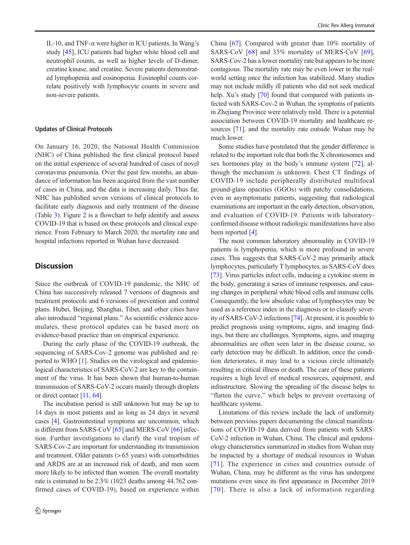IL-10, and TNF- $\alpha$  were higher in ICU patients. In Wang's study [\[45](#page-10-0)], ICU patients had higher white blood cell and neutrophil counts, as well as higher levels of D-dimer, creatine kinase, and creatine. Severe patients demonstrated lymphopenia and eosinopenia. Eosinophil counts correlate positively with lymphocyte counts in severe and non-severe patients.

#### Updates of Clinical Protocols

On January 16, 2020, the National Health Commission (NHC) of China published the first clinical protocol based on the initial experience of several hundred of cases of novel coronavirus pneumonia. Over the past few months, an abundance of information has been acquired from the vast number of cases in China, and the data is increasing daily. Thus far, NHC has published seven versions of clinical protocols to facilitate early diagnosis and early treatment of the disease (Table [3](#page-7-0)). Figure [2](#page-8-0) is a flowchart to help identify and assess COVID-19 that is based on these protocols and clinical experience. From February to March 2020, the mortality rate and hospital infections reported in Wuhan have decreased.

#### **Discussion**

Since the outbreak of COVID-19 pandemic, the NHC of China has successively released 7 versions of diagnosis and treatment protocols and 6 versions of prevention and control plans. Hubei, Beijing, Shanghai, Tibet, and other cities have also introduced "regional plans." As scientific evidence accumulates, these protocol updates can be based more on evidence-based practice than on empirical experience.

During the early phase of the COVID-19 outbreak, the sequencing of SARS-Cov-2 genome was published and reported to WHO [[1\]](#page-9-0). Studies on the virological and epidemiological characteristics of SARS-CoV-2 are key to the containment of the virus. It has been shown that human-to-human transmission of SARS-CoV-2 occurs mainly through droplets or direct contact [[11](#page-9-0), [64](#page-10-0)].

The incubation period is still unknown but may be up to 14 days in most patients and as long as 24 days in several cases [\[4\]](#page-9-0). Gastrointestinal symptoms are uncommon, which is different from SARS-CoV [[65\]](#page-10-0) and MERS-CoV [[66](#page-10-0)] infection. Further investigations to clarify the viral tropism of SARS-Cov-2 are important for understanding its transmission and treatment. Older patients  $(> 65$  years) with comorbidities and ARDS are at an increased risk of death, and men seem more likely to be infected than women. The overall mortality rate is estimated to be 2.3% (1023 deaths among 44,762 confirmed cases of COVID-19), based on experience within China [[67\]](#page-10-0). Compared with greater than 10% mortality of SARS-CoV [[68\]](#page-10-0) and 35% mortality of MERS-CoV [\[69](#page-11-0)], SARS-Cov-2 has a lower mortality rate but appears to be more contagious. The mortality rate may be even lower in the realworld setting once the infection has stabilized. Many studies may not include mildly ill patients who did not seek medical help. Xu's study [[70\]](#page-11-0) found that compared with patients infected with SARS-Cov-2 in Wuhan, the symptoms of patients in Zhejiang Province were relatively mild. There is a potential association between COVID-19 mortality and healthcare re-sources [\[71\]](#page-11-0), and the mortality rate outside Wuhan may be much lower.

Some studies have postulated that the gender difference is related to the important role that both the X chromosomes and sex hormones play in the body's immune system [[72\]](#page-11-0), although the mechanism is unknown. Chest CT findings of COVID-19 include peripherally distributed multifocal ground-glass opacities (GGOs) with patchy consolidations, even in asymptomatic patients, suggesting that radiological examinations are important in the early detection, observation, and evaluation of COVID-19. Patients with laboratoryconfirmed disease without radiologic manifestations have also been reported [\[4\]](#page-9-0).

The most common laboratory abnormality in COVID-19 patients is lymphopenia, which is more profound in severe cases. This suggests that SARS-CoV-2 may primarily attack lymphocytes, particularly T lymphocytes, as SARS-CoV does [\[73](#page-11-0)]. Virus particles infect cells, inducing a cytokine storm in the body, generating a series of immune responses, and causing changes in peripheral white blood cells and immune cells. Consequently, the low absolute value of lymphocytes may be used as a reference index in the diagnosis or to classify severity of SARS-CoV-2 infections [\[74](#page-11-0)]. At present, it is possible to predict prognosis using symptoms, signs, and imaging findings, but there are challenges. Symptoms, signs, and imaging abnormalities are often seen later in the disease course, so early detection may be difficult. In addition, once the condition deteriorates, it may lead to a vicious circle ultimately resulting in critical illness or death. The care of these patients requires a high level of medical resources, equipment, and infrastructure. Slowing the spreading of the disease helps to "flatten the curve," which helps to prevent overtaxing of healthcare systems.

Limitations of this review include the lack of uniformity between previous papers documenting the clinical manifestations of COVID-19 data derived from patients with SARS-CoV-2 infection in Wuhan, China. The clinical and epidemiology characteristics summarized in studies from Wuhan may be impacted by a shortage of medical resources in Wuhan [[71](#page-11-0)]. The experience in cities and countries outside of Wuhan, China, may be different as the virus has undergone mutations even since its first appearance in December 2019 [[70](#page-11-0)]. There is also a lack of information regarding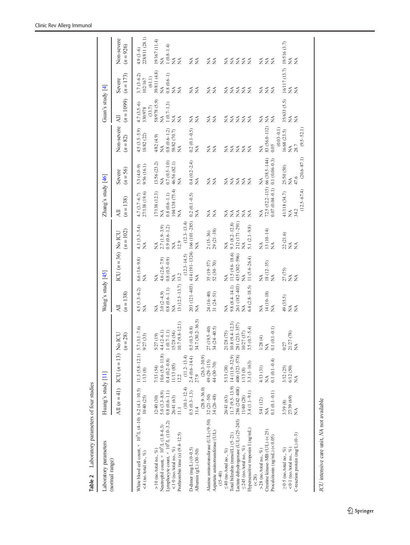<span id="page-6-0"></span>

| Laboratory parameters of four studies<br>Table 2                                                       |                                        |                                    |                                      |                                  |                                                               |                                 |                                      |                                          |                                             |                                                    |                                         |                                               |
|--------------------------------------------------------------------------------------------------------|----------------------------------------|------------------------------------|--------------------------------------|----------------------------------|---------------------------------------------------------------|---------------------------------|--------------------------------------|------------------------------------------|---------------------------------------------|----------------------------------------------------|-----------------------------------------|-----------------------------------------------|
| Laboratory parameters                                                                                  | Huang's study [11]                     |                                    |                                      | Wang's study [45]                |                                                               |                                 | Zhang's study [46]                   |                                          |                                             | Guan's study $[4]$                                 |                                         |                                               |
| (normal range)                                                                                         |                                        | All $(n=41)$ ICU $(n=13)$ No       | LC<br>$(n = 28)$                     | $(n=138)$<br>$\overline{AB}$     | $ICU(n=36)$ No ICU                                            | $(n = 102)$                     | $(n = 138)$<br>Ξ                     | $(n = 56)$<br>Severe                     | Non-severe<br>$(n = 82)$                    | $(n = 1099)$<br>All                                | $(n=173)$<br>Severe                     | Non-severe<br>$(n = 926)$                     |
| White blood cell count, $\times$ 10 <sup>9</sup> /L (4-10) 6.2 (4.1-10.5)<br><4 (no./total no., $\%$ ) | 10/40 (25)                             | $11.3(5.8-12.1)$ 5.7<br>1/13(8)    | $(3.1 - 7.6)$<br>(33)<br>9/27        | $4.5(3.3 - 6.2)$<br>$\leq$       | $6.6(3.6-9.8)$<br>$\tilde{\ge}$                               | $4.3(3.3 - 5.4)$<br>≸           | 27/138 (19.6)<br>$4.7(3.7 - 6.7)$    | 5.3 (4.0-9)<br>9/56 (16.1)               | $4.5(3.5-5.9)$<br>18/82 (22)                | $4.7(3.5-6)$<br>(33.7)<br>330/978                  | $3.7(3-6.2)$<br>102/167                 | 228/811 (28.1)<br>$4.9(3-6)$                  |
| Neutrophil count, $\times$ 10 $^9$ /L (1.8–6.3)<br>$> 10$ (no./total no., %)                           | 12/40(30)                              | $10.6(5.0 - 11.8)$<br>7/13 (54)    | $4.4(2-6.1)$<br>5/27 (19)            | $3.0(2-4.9)$<br>≸                | $\leq$                                                        | $\leq$                          | 17/138 (12.3)<br>≸                   | 13/56 (23.2)<br>$\breve{\ge}$            | 4/82 (4.9)<br>≸                             | 58/978 (5.9)<br>≸                                  | 39/811 (4.8)<br>(61.1)<br>$\lessapprox$ | 19/167 (11.4)<br>≸                            |
| Lymphocyte count, $\times$ 10 <sup>9</sup> /L (1.0-3.2)                                                | $5.0 (3.3 - 8.9)$<br>$0.8 (0.6 - 1.1)$ | $0.4(0.2 - 0.8)$                   | $1(0.7-1.1)$                         | $0.8(0.6-1.1)$                   | $4.6(2.6-7.9)$<br>0.8 (0.5-0.9)                               | $2.7(1.9-3.9)$<br>0.9 (0.6-1.2) | $0.8\ (0.6\hbox{--}1.1)$             | $0.7(0.5-1.0)$                           | $\frac{0.8\ (0.6\!-\!1.2)}{58\!82\ (70.7)}$ | $1(0.7-1.3)$                                       | $0.8(0.6-1)$                            | $1(0.8-1.4)$<br>NA                            |
| Prothrombin time (s) $(9.4-12.5)$<br><1.0 (no./total no., %)                                           | 26/41 (63)<br>$\Xi$                    | 11/13 (85)<br>12.2                 | $(9.8 - 12.1)$<br>15/28 (54)<br>10.7 | $13(12.3-13.7)$<br>$\tilde{\ge}$ | 13.2<br>$\tilde{\ge}$                                         | 12.9<br>$\breve{\ge}$           | 104/138 (75.4)<br>$\lessapprox$      | 46/56 (82.1)<br>$\tilde{\ge}$            | $\leq$                                      | $\lessapprox$<br>$\leq$                            | $\lessapprox$<br>≸                      | $\lessapprox$                                 |
| D-dimer (mg/L) $(0-0.5)$                                                                               | $(10.1 - 12.4)$<br>$0.5(0.3-1.3)$      | $2.4(0.6-14.4)$<br>$(11.2 - 13.4)$ | $0.5(0.3 - 0.8)$                     |                                  | 203 (121-403) 414 (191-1324) 166 (101-285)<br>$(12.3 - 14.5)$ | $(12.3 - 13.4)$                 | $0.2(0.1 - 0.5)$                     | $0.4(0.2 - 2.4)$                         | $0.2(0.1 - 0.5)$                            | ≸                                                  | $\leq$                                  | ₹                                             |
| Albumin $(g/L)$ $(30-50)$                                                                              | $(28.9 - 36.0)$<br>31.4                | $(26.3 - 30.9)$<br>27.9            | 34.7 (30.2-36.5)                     | Z                                | $\leq$                                                        | $\leq$                          | $\lessapprox$                        | ≸                                        | ≸                                           | $\frac{1}{2}$                                      | $\tilde{z}$                             | $\tilde{z}$                                   |
| Alanine aminotransferase (U/L) (9-50)                                                                  | $32(21-50)$                            | 49 (29-115)                        |                                      | 24 (16-40)                       | $35(19-57)$                                                   |                                 | ≸                                    | $\leq$                                   | ≸                                           | $\mathop{\leq}\limits_{{\mathop{\rm \mathsf{Z}}}}$ | ₹                                       | ₹                                             |
| Aspartate aminotransferase (U/L)<br>$(15 - 40)$                                                        | 34 (26 48)                             | 44 (30-70)                         | $27(19.5-40)$<br>$34(24-40.5)$       | $31(24-51)$                      | $52(30-70)$                                                   | $2(15-36)$<br>$29(21-38)$       | $\lessapprox$                        | $\lessapprox$                            | $\lessapprox$                               | $\lessapprox$                                      | $\tilde{z}$                             | $\tilde{z}$                                   |
| ≤ 40 (no./total no., %)                                                                                | 26/41 (63)                             | 5/13 (38)                          | 21/28 (75)                           | $\leq$                           | $\lessapprox$                                                 | $\lessapprox$                   |                                      |                                          | ₹                                           | $\lessapprox$                                      | ≨                                       |                                               |
| Total bilirubin (mmol/L) (5-21)                                                                        | $11.7(9.5-13.9)$                       | 14 (11.9-32.9)                     | $(9.4 - 12.3)$<br>10.8               | $9.8(8.4 - 14.1)$                | $11.5(9.6 - 18.6)$                                            | $9.3(8.2 - 12.8)$               | $\lessapprox$                        | $\tilde{z}$                              | $\tilde{z}$                                 | $\lessapprox$                                      | $\tilde{z}$                             | ≨≨                                            |
| Lactate dehydrogenase (U/L) (25-245)                                                                   | 286 (242-408)                          | 400 (323-578)                      | 281 (233-357)                        | 261 (182-403)                    | 435 (302-596)                                                 | 212 (171-291)                   | ≸                                    | $\tilde{z}$                              | $\tilde{z}$                                 | $\tilde{z}$                                        | $\tilde{z}$                             | $\tilde{z}$                                   |
| $\leq$ 245 (no./total no., %)                                                                          | (1/40(28))                             | 1/13(8)                            | 10/27(37)                            | $\tilde{\ge}$                    | $\tilde{\ge}$                                                 | $\lessapprox$                   | $\leq$                               | $\tilde{A}$                              | $\tilde{z}$                                 | $\tilde{\ge}$                                      | $\tilde{z}$                             | $\leq$                                        |
| Hypersensitive troponin I (ng/mL)<br>( < 28)                                                           | $3.4(1.1 - 9.1)$                       | $3.3(3-163)$                       | 3.5 $(0.7 - 5.4)$                    | $6.4$ $(2.8 - 18.5)$             | $11(5.6-26.4)$                                                | 5.1 $(2.1 - 9.8)$               | $\lessapprox$                        | ≸                                        | $\tilde{\ge}$                               | $\tilde{z}$                                        | $\tilde{z}$                             | $\tilde{z}$                                   |
| $>$ 28 (no./total no., %)                                                                              | 5/41 (12)                              | 4/13 (31)                          | $\oplus$<br>1/28                     | ≸                                | ≸                                                             | $\breve{\ge}$                   | ≸                                    | Ź                                        | $\lessapprox$                               | ≸                                                  | ₹                                       | Ź                                             |
| Creatine kinase-MB (U/L) (<25)                                                                         | ≸                                      | ≸                                  | $\lessapprox$                        | $14(10-18)$                      | $18(12-35)$                                                   | $13(10-14)$                     | $72.5(52.2 - 115)$ 66 $(38.5 - 144)$ |                                          | 83 (56.0-112)                               | $\lessapprox$                                      | $\lessapprox$                           | $\lessapprox$                                 |
| Procalcitonin $(ng/mL)$ (< 0.05)                                                                       | $0.1(0.1 - 0.1)$                       | $0.1(0.1-0.4)$                     | $0.1(0.1 - 0.1)$                     | $\lesssim$                       | $\tilde{\ge}$                                                 | $\stackrel{\triangle}{\geq}$    | $0.07(0.04 - 0.1)$                   | $0.1(0.06-0.3)$                          | $(0.03 - 0.1)$<br>0.05                      | ≸                                                  | $\mathbb{X}^{\mathsf{A}}$               | $\lessapprox$                                 |
| $\geq$ 0.5 (no./total no., %)                                                                          | 3/39 (8)                               | 3/12 (25)<br>6/12 (50)             | 0/27                                 | 49 (35.5)                        | 27 (75)                                                       | 22 (21.6)                       | 41/118 (34.7)                        | 25/50 (50)                               | $16/68$ $(23.5)$                            | 35/633 (5.5)                                       | 16/117 (13.7) 19/516 (3.7)              |                                               |
| C-reaction protein $(mg/L)$ $(0-3)$<br>< 0.1 (no./total no., %)                                        | 27/39 (69)<br>$\tilde{\ge}$            | $\tilde{z}$                        | 21/27 (78)<br>$\tilde{\ge}$          | $\tilde{\ge}$<br>$\tilde{\ge}$   | $\lessapprox$<br>$\tilde{\ge}$                                | $\lessapprox$<br>$\lessapprox$  | $(12.5 - 67.4)$<br>34.2<br>≸         | $(20.6 - 87.1)$<br>47.6<br>$\tilde{\ge}$ | $(9.5 - 52.1)$<br>28.7<br>≨                 | $\stackrel{\triangle}{\geq}$<br>$\lessapprox$      | $\lessapprox$                           | $\stackrel{\triangle}{\geq}$<br>$\lessapprox$ |
|                                                                                                        |                                        |                                    |                                      |                                  |                                                               |                                 |                                      |                                          |                                             |                                                    |                                         |                                               |

 $\underline{\textcircled{\tiny 2}}$  Springer

ICU intensive care unit, NA not available

 $\overline{ICU}$  intensive care unit,  $NA$  not available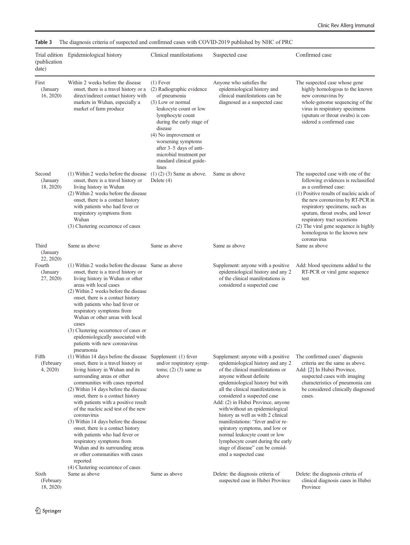| (publication<br>date)            | Trial edition Epidemiological history                                                                                                                                                                                                                                                                                                                                                                                                                                                                                                                                                                                                                                | Clinical manifestations                                                                                                                                                                                                                                                                                         | Suspected case                                                                                                                                                                                                                                                                                                                                                                                                                                                                                                                                                            | Confirmed case                                                                                                                                                                                                                                                                                                                                                                |
|----------------------------------|----------------------------------------------------------------------------------------------------------------------------------------------------------------------------------------------------------------------------------------------------------------------------------------------------------------------------------------------------------------------------------------------------------------------------------------------------------------------------------------------------------------------------------------------------------------------------------------------------------------------------------------------------------------------|-----------------------------------------------------------------------------------------------------------------------------------------------------------------------------------------------------------------------------------------------------------------------------------------------------------------|---------------------------------------------------------------------------------------------------------------------------------------------------------------------------------------------------------------------------------------------------------------------------------------------------------------------------------------------------------------------------------------------------------------------------------------------------------------------------------------------------------------------------------------------------------------------------|-------------------------------------------------------------------------------------------------------------------------------------------------------------------------------------------------------------------------------------------------------------------------------------------------------------------------------------------------------------------------------|
| First<br>(January<br>16, 2020    | Within 2 weeks before the disease<br>onset, there is a travel history or a<br>direct/indirect contact history with<br>markets in Wuhan, especially a<br>market of farm produce                                                                                                                                                                                                                                                                                                                                                                                                                                                                                       | $(1)$ Fever<br>(2) Radiographic evidence<br>of pneumonia<br>(3) Low or normal<br>leukocyte count or low<br>lymphocyte count<br>during the early stage of<br>disease<br>$(4)$ No improvement or<br>worsening symptoms<br>after 3-5 days of anti-<br>microbial treatment per<br>standard clinical guide-<br>lines | Anyone who satisfies the<br>epidemiological history and<br>clinical manifestations can be<br>diagnosed as a suspected case                                                                                                                                                                                                                                                                                                                                                                                                                                                | The suspected case whose gene<br>highly homologous to the known<br>new coronavirus by<br>whole-genome sequencing of the<br>virus in respiratory specimens<br>(sputum or throat swabs) is con-<br>sidered a confirmed case                                                                                                                                                     |
| Second<br>(January)<br>18, 2020) | (1) Within 2 weeks before the disease<br>onset, there is a travel history or<br>living history in Wuhan<br>(2) Within 2 weeks before the disease<br>onset, there is a contact history<br>with patients who had fever or<br>respiratory symptoms from<br>Wuhan<br>(3) Clustering occurrence of cases                                                                                                                                                                                                                                                                                                                                                                  | $(1)$ $(2)$ $(3)$ Same as above.<br>Delete $(4)$                                                                                                                                                                                                                                                                | Same as above                                                                                                                                                                                                                                                                                                                                                                                                                                                                                                                                                             | The suspected case with one of the<br>following evidences is reclassified<br>as a confirmed case:<br>(1) Positive results of nucleic acids of<br>the new coronavirus by RT-PCR in<br>respiratory specimens, such as<br>sputum, throat swabs, and lower<br>respiratory tract secretions<br>(2) The viral gene sequence is highly<br>homologous to the known new<br>coronavirus |
| Third<br>(January<br>22, 2020)   | Same as above                                                                                                                                                                                                                                                                                                                                                                                                                                                                                                                                                                                                                                                        | Same as above                                                                                                                                                                                                                                                                                                   | Same as above                                                                                                                                                                                                                                                                                                                                                                                                                                                                                                                                                             | Same as above                                                                                                                                                                                                                                                                                                                                                                 |
| Fourth<br>(January)<br>27, 2020) | (1) Within 2 weeks before the disease Same as above<br>onset, there is a travel history or<br>living history in Wuhan or other<br>areas with local cases<br>(2) Within 2 weeks before the disease<br>onset, there is a contact history<br>with patients who had fever or<br>respiratory symptoms from<br>Wuhan or other areas with local<br>cases<br>(3) Clustering occurrence of cases or<br>epidemiologically associated with<br>patients with new coronavirus                                                                                                                                                                                                     |                                                                                                                                                                                                                                                                                                                 | Supplement: anyone with a positive<br>epidemiological history and any 2<br>of the clinical manifestations is<br>considered a suspected case                                                                                                                                                                                                                                                                                                                                                                                                                               | Add: blood specimens added to the<br>RT-PCR or viral gene sequence<br>test                                                                                                                                                                                                                                                                                                    |
| Fifth<br>(February<br>4, 2020)   | pneumonia<br>(1) Within 14 days before the disease Supplement: (1) fever<br>onset, there is a travel history or<br>living history in Wuhan and its<br>surrounding areas or other<br>communities with cases reported<br>(2) Within 14 days before the disease<br>onset, there is a contact history<br>with patients with a positive result<br>of the nucleic acid test of the new<br>coronavirus<br>(3) Within 14 days before the disease<br>onset, there is a contact history<br>with patients who had fever or<br>respiratory symptoms from<br>Wuhan and its surrounding areas<br>or other communities with cases<br>reported<br>(4) Clustering occurrence of cases | and/or respiratory symp-<br>toms; $(2)$ $(3)$ same as<br>above                                                                                                                                                                                                                                                  | Supplement: anyone with a positive<br>epidemiological history and any 2<br>of the clinical manifestations or<br>anyone without definite<br>epidemiological history but with<br>all the clinical manifestations is<br>considered a suspected case<br>Add: (2) in Hubei Province, anyone<br>with/without an epidemiological<br>history as well as with 2 clinical<br>manifestations: "fever and/or re-<br>spiratory symptoms, and low or<br>normal leukocyte count or low<br>lymphocyte count during the early<br>stage of disease" can be consid-<br>ered a suspected case | The confirmed cases' diagnosis<br>criteria are the same as above.<br>Add: [2] In Hubei Province,<br>suspected cases with imaging<br>characteristics of pneumonia can<br>be considered clinically diagnosed<br>cases.                                                                                                                                                          |
| Sixth<br>(February<br>18, 2020)  | Same as above                                                                                                                                                                                                                                                                                                                                                                                                                                                                                                                                                                                                                                                        | Same as above                                                                                                                                                                                                                                                                                                   | Delete: the diagnosis criteria of<br>suspected case in Hubei Province                                                                                                                                                                                                                                                                                                                                                                                                                                                                                                     | Delete: the diagnosis criteria of<br>clinical diagnosis cases in Hubei<br>Province                                                                                                                                                                                                                                                                                            |

<span id="page-7-0"></span>Table 3 The diagnosis criteria of suspected and confirmed cases with COVID-2019 published by NHC of PRC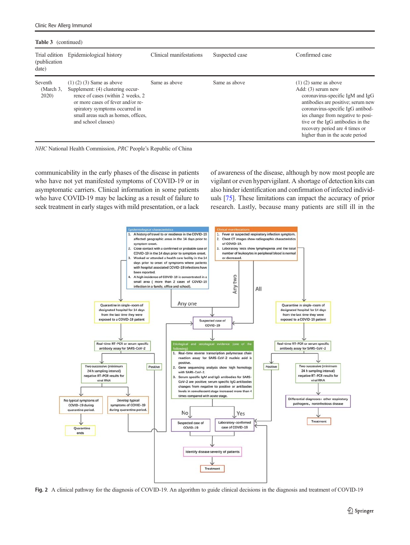<span id="page-8-0"></span>

| <b>Table 3</b> (continued)<br>(publication)<br>date) | Trial edition Epidemiological history                                                                                                                                                                                                          | Clinical manifestations | Suspected case | Confirmed case                                                                                                                                                                                                                                                                                                |
|------------------------------------------------------|------------------------------------------------------------------------------------------------------------------------------------------------------------------------------------------------------------------------------------------------|-------------------------|----------------|---------------------------------------------------------------------------------------------------------------------------------------------------------------------------------------------------------------------------------------------------------------------------------------------------------------|
| Seventh<br>(March 3,<br>2020)                        | $(1)$ $(2)$ $(3)$ Same as above<br>Supplement: (4) clustering occur-<br>rence of cases (within 2 weeks, 2<br>or more cases of fever and/or re-<br>spiratory symptoms occurred in<br>small areas such as homes, offices,<br>and school classes) | Same as above           | Same as above  | $(1)$ $(2)$ same as above<br>Add: (3) serum new<br>coronavirus-specific IgM and IgG<br>antibodies are positive; serum new<br>coronavirus-specific IgG antibod-<br>ies change from negative to posi-<br>tive or the IgG antibodies in the<br>recovery period are 4 times or<br>higher than in the acute period |



communicability in the early phases of the disease in patients who have not yet manifested symptoms of COVID-19 or in asymptomatic carriers. Clinical information in some patients who have COVID-19 may be lacking as a result of failure to seek treatment in early stages with mild presentation, or a lack of awareness of the disease, although by now most people are vigilant or even hypervigilant. A shortage of detection kits can also hinder identification and confirmation of infected individuals [[75\]](#page-11-0). These limitations can impact the accuracy of prior research. Lastly, because many patients are still ill in the



Fig. 2 A clinical pathway for the diagnosis of COVID-19. An algorithm to guide clinical decisions in the diagnosis and treatment of COVID-19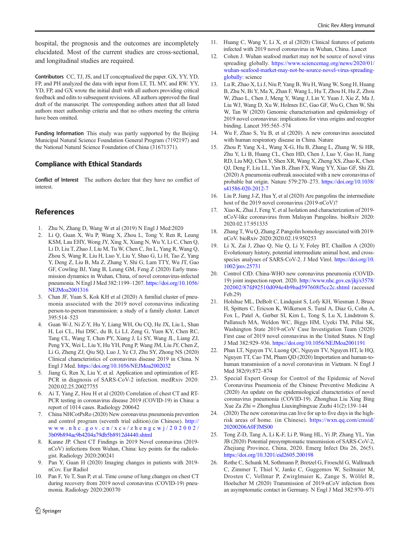<span id="page-9-0"></span>hospital, the prognosis and the outcomes are incompletely elucidated. Most of the current studies are cross-sectional, and longitudinal studies are required.

Contributors CC, TJ, JS, and LT conceptualized the paper. GX, YY, YD, FP, and PH analyzed the data with input from LT, TL MY, and RW. YY, YD, FP, and GX wrote the initial draft with all authors providing critical feedback and edits to subsequent revisions. All authors approved the final draft of the manuscript. The corresponding authors attest that all listed authors meet authorship criteria and that no others meeting the criteria have been omitted.

Funding Information This study was partly supported by the Beijing Municipal Natural Science Foundation General Program (7192197) and the National Natural Science Foundation of China (31671371).

## Compliance with Ethical Standards

Conflict of Interest The authors declare that they have no conflict of interest.

# **References**

- 1. Zhu N, Zhang D, Wang W et al (2019) N Engl J Med:2020
- 2. Li Q, Guan X, Wu P, Wang X, Zhou L, Tong Y, Ren R, Leung KSM, Lau EHY, Wong JY, Xing X, Xiang N, Wu Y, Li C, Chen Q, Li D, Liu T, Zhao J, Liu M, Tu W, Chen C, Jin L, Yang R, Wang Q, Zhou S, Wang R, Liu H, Luo Y, Liu Y, Shao G, Li H, Tao Z, Yang Y, Deng Z, Liu B, Ma Z, Zhang Y, Shi G, Lam TTY, Wu JT, Gao GF, Cowling BJ, Yang B, Leung GM, Feng Z (2020) Early transmission dynamics in Wuhan, China, of novel coronavirus-infected pneumonia. N Engl J Med 382:1199–1207. [https://doi.org/10.1056/](https://doi.org/10.1056/NEJMoa2001316) [NEJMoa2001316](https://doi.org/10.1056/NEJMoa2001316)
- 3. Chan JF, Yuan S, Kok KH et al (2020) A familial cluster of pneumonia associated with the 2019 novel coronavirus indicating person-to-person transmission: a study of a family cluster. Lancet 395:514–523
- 4. Guan W-J, Ni Z-Y, Hu Y, Liang WH, Ou CQ, He JX, Liu L, Shan H, Lei CL, Hui DSC, du B, Li LJ, Zeng G, Yuen KY, Chen RC, Tang CL, Wang T, Chen PY, Xiang J, Li SY, Wang JL, Liang ZJ, Peng YX, Wei L, Liu Y, Hu YH, Peng P, Wang JM, Liu JY, Chen Z, Li G, Zheng ZJ, Qiu SQ, Luo J, Ye CJ, Zhu SY, Zhong NS (2020) Clinical characteristics of coronavirus disease 2019 in China. N Engl J Med. <https://doi.org/10.1056/NEJMoa2002032>
- 5. Jiang G, Ren X, Liu Y, et al. Application and optimization of RT-PCR in diagnosis of SARS-CoV-2 infection. medRxiv 2020: 2020.02.25.20027755
- 6. Ai T, Yang Z, Hou H et al (2020) Correlation of chest CT and RT-PCR testing in coronavirus disease 2019 (COVID-19) in China: a report of 1014 cases. Radiology 200642
- 7. China NHCotPsRo (2020) New coronavirus pneumonia prevention and control program (seventh trial edition).(in Chinese). [http://](https://doi.org/10.1056/NEJMoa2001316) [www.nhc.gov.cn/xcs/zhengcwj/202002/](https://doi.org/10.1056/NEJMoa2001316) [3b09b894ac9b4204a79db5b8912d4440.shtml](https://doi.org/10.1056/NEJMoa2001316)
- 8. Kanne JP. Chest CT Findings in 2019 Novel coronavirus (2019 nCoV) infections from Wuhan, China: key points for the radiologist. Radiology 2020:200241
- 9. Pan Y, Guan H (2020) Imaging changes in patients with 2019 nCov. Eur Radiol
- 10. Pan F, Ye T, Sun P, et al. Time course of lung changes on chest CT during recovery from 2019 novel coronavirus (COVID-19) pneumonia. Radiology 2020:200370
- 11. Huang C, Wang Y, Li X, et al (2020) Clinical features of patients infected with 2019 novel coronavirus in Wuhan, China. Lancet
- 12. Cohen J. Wuhan seafood market may not be source of novel virus spreading globally. [https://www.sciencemag.org/news/2020/01/](https://doi.org/10.1056/NEJMoa2001316) [wuhan-seafood-market-may-not-be-source-novel-virus-spreading](https://doi.org/10.1056/NEJMoa2001316)[globally:](https://doi.org/10.1056/NEJMoa2001316) science
- 13. Lu R, Zhao X, Li J, Niu P, Yang B, Wu H, Wang W, Song H, Huang B, Zhu N, Bi Y, Ma X, Zhan F, Wang L, Hu T, Zhou H, Hu Z, Zhou W, Zhao L, Chen J, Meng Y, Wang J, Lin Y, Yuan J, Xie Z, Ma J, Liu WJ, Wang D, Xu W, Holmes EC, Gao GF, Wu G, Chen W, Shi W, Tan W (2020) Genomic characterisation and epidemiology of 2019 novel coronavirus: implications for virus origins and receptor binding. Lancet 395:565–574
- 14. Wu F, Zhao S, Yu B, et al (2020). A new coronavirus associated with human respiratory disease in China. Nature
- 15. Zhou P, Yang X-L, Wang X-G, Hu B, Zhang L, Zhang W, Si HR, Zhu Y, Li B, Huang CL, Chen HD, Chen J, Luo Y, Guo H, Jiang RD, Liu MQ, Chen Y, Shen XR, Wang X, Zheng XS, Zhao K, Chen QJ, Deng F, Liu LL, Yan B, Zhan FX, Wang YY, Xiao GF, Shi ZL (2020) A pneumonia outbreak associated with a new coronavirus of probable bat origin. Nature 579:270–273. [https://doi.org/10.1038/](https://doi.org/10.1038/s41586-020-2012-7) [s41586-020-2012-7](https://doi.org/10.1038/s41586-020-2012-7)
- 16. Liu P, Jiang J-Z, Hua Y, et al (2020) Are pangolins the intermediate host of the 2019 novel coronavirus (2019-nCoV)?
- 17. Xiao K, Zhai J, Feng Y, et al Isolation and characterization of 2019 nCoV-like coronavirus from Malayan Pangolins. bioRxiv 2020: 2020.02.17.951335
- 18. Zhang T, Wu Q, Zhang Z Pangolin homology associated with 2019 nCoV. bioRxiv 2020:2020.02.19.950253
- 19. Li X, Zai J, Zhao Q, Nie Q, Li Y, Foley BT, Chaillon A (2020) Evolutionary history, potential intermediate animal host, and crossspecies analyses of SARS-CoV-2. J Med Virol. [https://doi.org/10.](https://doi.org/10.1002/jmv.25731) [1002/jmv.25731](https://doi.org/10.1002/jmv.25731)
- 20. Control CfD. China-WHO new coronavirus pneumonia (COVID-19) joint inspection report. 2020. [http://www.nhc.gov.cn/jkj/s3578/](https://doi.org/10.1056/NEJMoa2001316) [202002/87fd92510d094e4b9bad597608f5cc2c.shtml](https://doi.org/10.1056/NEJMoa2001316) (accessed Feb.29)
- 21. Holshue ML, DeBolt C, Lindquist S, Lofy KH, Wiesman J, Bruce H, Spitters C, Ericson K, Wilkerson S, Tural A, Diaz G, Cohn A, Fox L, Patel A, Gerber SI, Kim L, Tong S, Lu X, Lindstrom S, Pallansch MA, Weldon WC, Biggs HM, Uyeki TM, Pillai SK, Washington State 2019-nCoV Case Investigation Team (2020) First case of 2019 novel coronavirus in the United States. N Engl J Med 382:929–936. <https://doi.org/10.1056/NEJMoa2001191>
- 22. Phan LT, Nguyen TV, Luong QC, Nguyen TV, Nguyen HT, le HQ, Nguyen TT, Cao TM, Pham QD (2020) Importation and human-tohuman transmission of a novel coronavirus in Vietnam. N Engl J Med 382(9):872–874
- 23. Special Expert Group for Control of the Epidemic of Novel Coronavirus Pneumonia of the Chinese Preventive Medicine A (2020) An update on the epidemiological characteristics of novel coronavirus pneumonia (COVID-19). Zhonghua Liu Xing Bing Xue Za Zhi = Zhonghua Liuxingbingxue Zazhi 41(2):139–144
- 24. (2020) The new coronavirus can live for up to five days in the highrisk areas of home. (in Chinese). [https://wxn.qq.com/cmsid/](https://doi.org/10.1056/NEJMoa2001316) [20200206A0FJMS00](https://doi.org/10.1056/NEJMoa2001316)
- 25. Tong Z-D, Tang A, Li K-F, Li P, Wang HL, Yi JP, Zhang YL, Yan JB (2020) Potential presymptomatic transmission of SARS-CoV-2, Zhejiang Province, China, 2020. Emerg Infect Dis 26, 26(5). <https://doi.org/10.3201/eid2605.200198>
- 26. Rothe C, Schunk M, Sothmann P, Bretzel G, Froeschl G, Wallrauch C, Zimmer T, Thiel V, Janke C, Guggemos W, Seilmaier M, Drosten C, Vollmar P, Zwirglmaier K, Zange S, Wölfel R, Hoelscher M (2020) Transmission of 2019-nCoV infection from an asymptomatic contact in Germany. N Engl J Med 382:970–971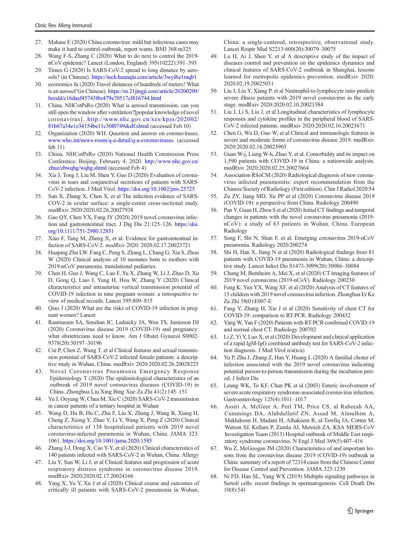- <span id="page-10-0"></span>27. Mahase E (2020) China coronavirus: mild but infectious cases may make it hard to control outbreak, report warns. BMJ 368:m325
- 28. Wang F-S, Zhang C (2020) What to do next to control the 2019 nCoV epidemic? Lancet (London, England) 395(10222):391–393
- 29. Times G (2020) Is SARS-CoV-2 spread to long distance by aerosols? (in Chinese). [https://tech.huanqiu.com/article/3wyI6e1mqb1](https://doi.org/10.1056/NEJMoa2001316)
- 30. economics fa (2020) Travel distances of hundreds of meters! What is an aerosol?(in Chinese). [https://m.21jingji.com/article/20200209/](https://doi.org/10.1056/NEJMoa2001316) [herald/c16daaf45743f6e479e70517cf816744.html](https://doi.org/10.1056/NEJMoa2001316)
- 31. China. NHCotPsRo (2020) What is aerosol transmission, can you still open the window after ventilation?[popular knowledge of novel coronavirus]. [http://www.nhc.gov.cn/xcs/kpzs/202002/](https://doi.org/10.1056/NEJMoa2001316) [81b67a34e1e34154be11c30f0749dcdf.shtml](https://doi.org/10.1056/NEJMoa2001316) (accessed Feb.10)
- 32. Organization (2020) WH. Question and answer on coronaviruses. [www.who.int/news-room/q-a-detail/q-a-coronaviruses.](https://doi.org/10.1056/NEJMoa2001316) (accessed feb 11)
- 33. China. NHCotPsRo (2020) National Health Commission Press Conference. Beijing, February 4, 2020. [http://www.nhc.gov.cn/](https://doi.org/10.1056/NEJMoa2001316) [zhuz/zbwqhg/wqhg.shtml](https://doi.org/10.1056/NEJMoa2001316) (accessed Feb 4)
- 34. Xia J, Tong J, Liu M, Shen Y, Guo D (2020) Evaluation of coronavirus in tears and conjunctival secretions of patients with SARS-CoV-2 infection. J Med Virol. <https://doi.org/10.1002/jmv.25725>
- 35. Sun X, Zhang X, Chen X, et al The infection evidence of SARS-COV-2 in ocular surface: a single-center cross-sectional study. medRxiv 2020:2020.02.26.20027938
- 36. Gao QY, Chen YX, Fang JY (2020) 2019 novel coronavirus infection and gastrointestinal tract. J Dig Dis 21:125–126. [https://doi.](https://doi.org/10.1111/751-2980.12851) [org/10.1111/751-2980.12851](https://doi.org/10.1111/751-2980.12851)
- 37. Xiao F, Tang M, Zheng X, et al. Evidence for gastrointestinal infection of SARS-CoV-2. medRxiv 2020: 2020.02.17.20023721
- 38. Huaping Zhu LW, Fang C, Peng S, Zhang L, Chang G, Xia S, Zhou W (2020) Clinical analysis of 10 neonates born to mothers with 2019-nCoV pneumonia. translational pediatrics
- 39. Chen H, Guo J, Wang C, Luo F, Yu X, Zhang W, Li J, Zhao D, Xu D, Gong Q, Liao J, Yang H, Hou W, Zhang Y (2020) Clinical characteristics and intrauterine vertical transmission potential of COVID-19 infection in nine pregnant women: a retrospective review of medical records. Lancet 395:809–815
- 40. Qiao J (2020) What are the risks of COVID-19 infection in pregnant women? Lancet
- 41. Rasmussen SA, Smulian JC, Lednicky JA, Wen TS, Jamieson DJ (2020) Coronavirus disease 2019 (COVID-19) and pregnancy: what obstetricians need to know. Am J Obstet Gynecol S0002- 9378(20):30197–30196
- 42. Cui P, Chen Z, Wang T, et al Clinical features and sexual transmission potential of SARS-CoV-2 infected female patients: a descriptive study in Wuhan, China. medRxiv 2020:2020.02.26.20028225
- 43. Novel Coronavirus Pneumonia Emergency Response Epidemiology T (2020) The epidemiological characteristics of an outbreak of 2019 novel coronavirus diseases (COVID-19) in China. Zhonghua Liu Xing Bing Xue Za Zhi 41(2):145–151
- 44. Yu J, Ouyang W, Chua M, Xie C (2020) SARS-CoV-2 transmission in cancer patients of a tertiary hospital in Wuhan
- 45. Wang D, Hu B, Hu C, Zhu F, Liu X, Zhang J, Wang B, Xiang H, Cheng Z, Xiong Y, Zhao Y, Li Y, Wang X, Peng Z (2020) Clinical characteristics of 138 hospitalized patients with 2019 novel coronavirus-infected pneumonia in Wuhan, China. JAMA 323: 1061. <https://doi.org/10.1001/jama.2020.1585>
- 46. Zhang J-J, Dong X, Cao Y-Y, et al (2020) Clinical characteristics of 140 patients infected with SARS-CoV-2 in Wuhan, China. Allergy
- 47. Liu Y, Sun W, Li J, et al Clinical features and progression of acute respiratory distress syndrome in coronavirus disease 2019. medRxiv 2020:2020.02.17.20024166
- 48. Yang X, Yu Y, Xu J et al (2020) Clinical course and outcomes of critically ill patients with SARS-CoV-2 pneumonia in Wuhan,

China: a single-centered, retrospective, observational study. Lancet Respir Med S2213-600(20):30079–30075

- Lu H, Ai J, Shen Y, et al A descriptive study of the impact of diseases control and prevention on the epidemics dynamics and clinical features of SARS-CoV-2 outbreak in Shanghai, lessons learned for metropolis epidemics prevention. medRxiv 2020: 2020.02.19.20025031
- 50. Liu J, Liu Y, Xiang P, et al Neutrophil-to-lymphocyte ratio predicts severe illness patients with 2019 novel coronavirus in the early stage. medRxiv 2020:2020.02.10.20021584
- 51. Liu J, Li S, Liu J, et al Longitudinal characteristics of lymphocyte responses and cytokine profiles in the peripheral blood of SARS-CoV-2 infected patients. medRxiv 2020:2020.02.16.20023671
- 52. Chen G, Wu D, Guo W, et al Clinical and immunologic features in severe and moderate forms of coronavirus disease 2019. medRxiv 2020:2020.02.16.20023903
- 53. Guan W-j, Liang W-h, Zhao Y, et al. Comorbidity and its impact on 1,590 patients with COVID-19 in China: a nationwide analysis. medRxiv 2020:2020.02.25.20027664
- 54. Association RSoCM (2020) Radiological diagnosis of new coronavirus infected pneumonitis: expert recommendation from the Chinese Society of Radiology (First edition). Chin J Radiol 2020:54
- 55. Zu ZY, Jiang MD, Xu PP et al (2020) Coronavirus disease 2019 (COVID-19): a perspective from China. Radiology 200490
- 56. Pan Y, Guan H, Zhou S et al (2020) Initial CT findings and temporal changes in patients with the novel coronavirus pneumonia (2019 nCoV): a study of 63 patients in Wuhan. China, European Radiology
- 57. Song F, Shi N, Shan F, et al. Emerging coronavirus 2019-nCoV pneumonia. Radiology 2020:200274
- 58. Shi H, Han X, Jiang N et al (2020) Radiological findings from 81 patients with COVID-19 pneumonia in Wuhan, China: a descriptive study. Lancet Infect Dis S1473-3099(20):30086–30084
- 59. Chung M, Bernheim A, Mei X, et al (2020) CT imaging features of 2019 novel coronavirus (2019-nCoV). Radiology 200230
- 60. Feng K, Yun YX, Wang XF, et al (2020) Analysis of CT features of 15 children with 2019 novel coronavirus infection. Zhonghua Er Ke Za Zhi 58(0):E007-E
- 61. Fang Y, Zhang H, Xie J et al (2020) Sensitivity of chest CT for COVID-19: comparison to RT-PCR. Radiology 200432
- Yang W, Yan F (2020) Patients with RT-PCR confirmed COVID-19 and normal chest CT. Radiology 200702
- 63. Li Z, Yi Y, Luo X, et al (2020) Development and clinical application of a rapid IgM-IgG combined antibody test for SARS-CoV-2 infection diagnosis. J Med Virol n/a(n/a)
- Yu P, Zhu J, Zhang Z, Han Y, Huang L (2020) A familial cluster of infection associated with the 2019 novel coronavirus indicating potential person-to-person transmission during the incubation period. J Infect Dis
- 65. Leung WK, To KF, Chan PK et al (2003) Enteric involvement of severe acute respiratory syndrome-associated coronavirus infection. Gastroenterology 125(4):1011–1017
- 66. Assiri A, McGeer A, Perl TM, Price CS, al Rabeeah AA, Cummings DA, Alabdullatif ZN, Assad M, Almulhim A, Makhdoom H, Madani H, Alhakeem R, al-Tawfiq JA, Cotten M, Watson SJ, Kellam P, Zumla AI, Memish ZA, KSA MERS-CoV Investigation Team (2013) Hospital outbreak of Middle East respiratory syndrome coronavirus. N Engl J Med 369(5):407–416
- 67. Wu Z, McGoogan JM (2020) Characteristics of and important lessons from the coronavirus disease 2019 (COVID-19) outbreak in China: summary of a report of 72314 cases from the Chinese Center for Disease Control and Prevention. JAMA 323:1239
- 68. Ni FD, Hao SL, Yang WX (2019) Multiple signaling pathways in Sertoli cells: recent findings in spermatogenesis. Cell Death Dis 10(8):541